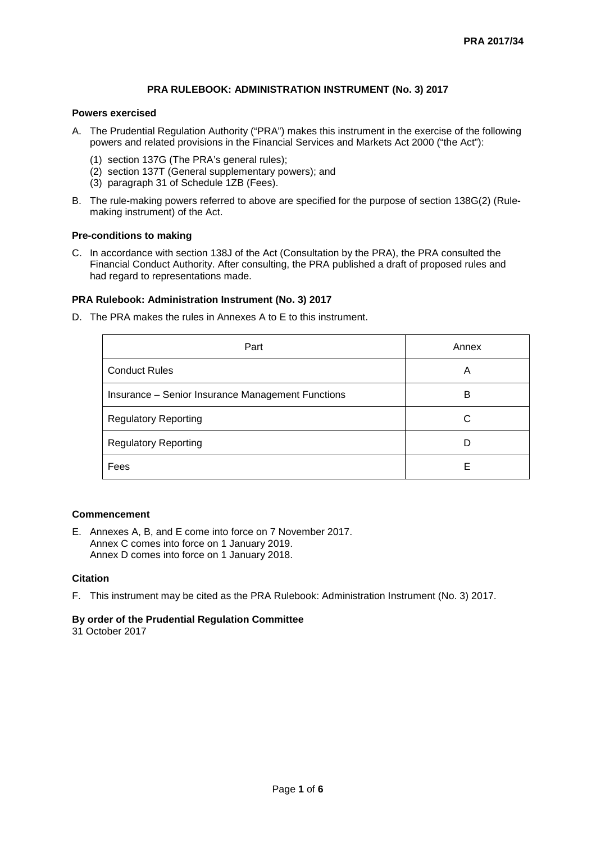# **PRA RULEBOOK: ADMINISTRATION INSTRUMENT (No. 3) 2017**

### **Powers exercised**

- A. The Prudential Regulation Authority ("PRA") makes this instrument in the exercise of the following powers and related provisions in the Financial Services and Markets Act 2000 ("the Act"):
	- (1) section 137G (The PRA's general rules);
	- (2) section 137T (General supplementary powers); and
	- (3) paragraph 31 of Schedule 1ZB (Fees).
- B. The rule-making powers referred to above are specified for the purpose of section 138G(2) (Rulemaking instrument) of the Act.

### **Pre-conditions to making**

C. In accordance with section 138J of the Act (Consultation by the PRA), the PRA consulted the Financial Conduct Authority. After consulting, the PRA published a draft of proposed rules and had regard to representations made.

### **PRA Rulebook: Administration Instrument (No. 3) 2017**

D. The PRA makes the rules in Annexes A to E to this instrument.

| Part                                              | Annex |
|---------------------------------------------------|-------|
| <b>Conduct Rules</b>                              | A     |
| Insurance - Senior Insurance Management Functions | в     |
| <b>Regulatory Reporting</b>                       | C     |
| <b>Regulatory Reporting</b>                       |       |
| Fees                                              | F     |

## **Commencement**

E. Annexes A, B, and E come into force on 7 November 2017. Annex C comes into force on 1 January 2019. Annex D comes into force on 1 January 2018.

#### **Citation**

F. This instrument may be cited as the PRA Rulebook: Administration Instrument (No. 3) 2017.

## **By order of the Prudential Regulation Committee**

31 October 2017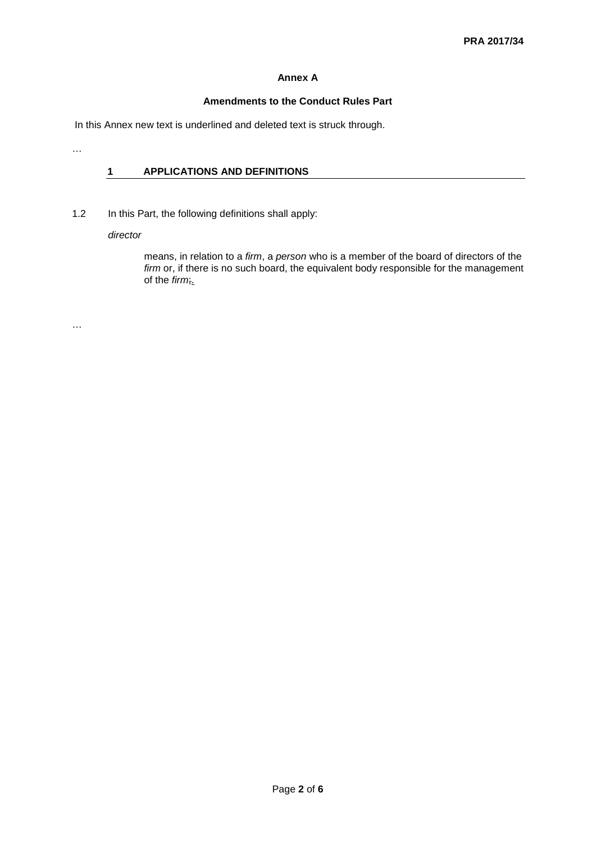# **Annex A**

### **Amendments to the Conduct Rules Part**

In this Annex new text is underlined and deleted text is struck through.

# **1 APPLICATIONS AND DEFINITIONS**

1.2 In this Part, the following definitions shall apply:

*director*

means, in relation to a *firm*, a *person* who is a member of the board of directors of the *firm* or, if there is no such board, the equivalent body responsible for the management of the *firm*;.

…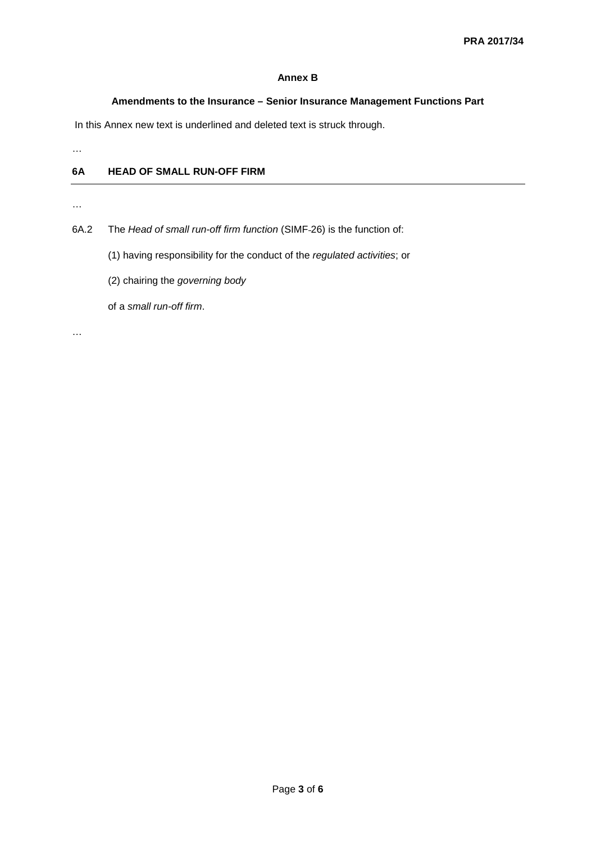### **Annex B**

### **Amendments to the Insurance – Senior Insurance Management Functions Part**

In this Annex new text is underlined and deleted text is struck through.

…

# **6A HEAD OF SMALL RUN-OFF FIRM**

…

6A.2 The *Head of small run-off firm function* (SIMF 26) is the function of:

(1) having responsibility for the conduct of the *regulated activities*; or

(2) chairing the *governing body*

of a *small run-off firm*.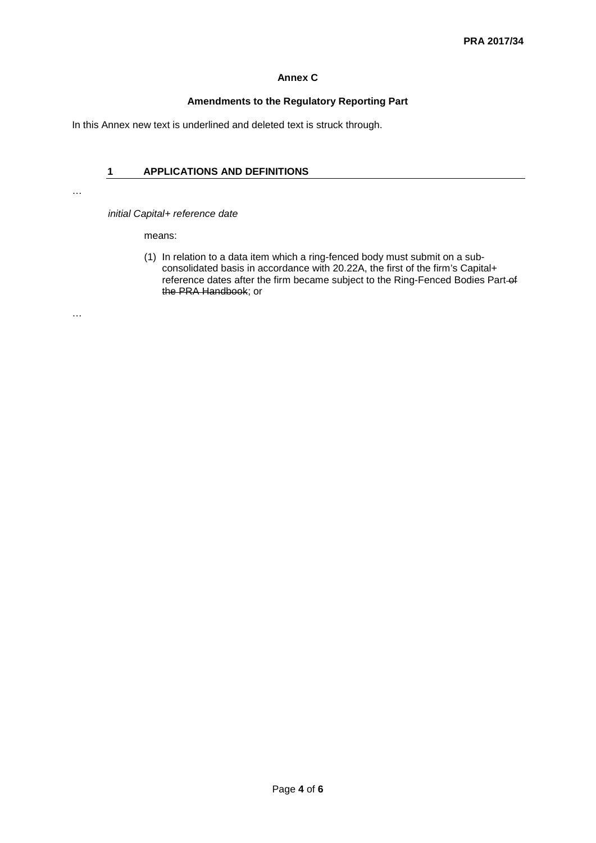# **Annex C**

# **Amendments to the Regulatory Reporting Part**

In this Annex new text is underlined and deleted text is struck through.

# **1 APPLICATIONS AND DEFINITIONS**

…

*initial Capital+ reference date*

means:

(1) In relation to a data item which a ring-fenced body must submit on a subconsolidated basis in accordance with 20.22A, the first of the firm's Capital+ reference dates after the firm became subject to the Ring-Fenced Bodies Part-of the PRA Handbook; or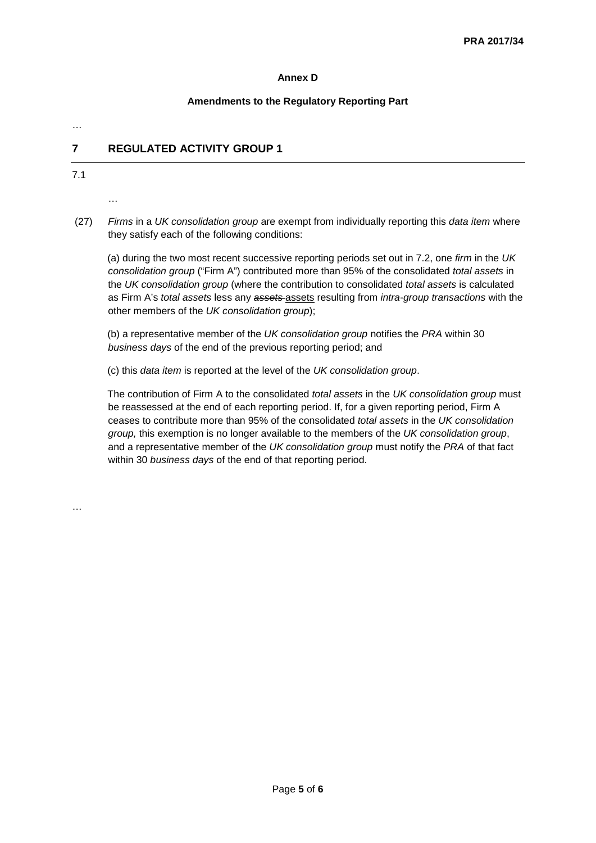# **Annex D**

# **Amendments to the Regulatory Reporting Part**

…

# **7 REGULATED ACTIVITY GROUP 1**

7.1

…

(27) *Firms* in a *UK consolidation group* are exempt from individually reporting this *data item* where they satisfy each of the following conditions:

(a) during the two most recent successive reporting periods set out in 7.2, one *firm* in the *UK consolidation group* ("Firm A") contributed more than 95% of the consolidated *total assets* in the *UK consolidation group* (where the contribution to consolidated *total assets* is calculated as Firm A's *total assets* less any *assets* assets resulting from *intra-group transactions* with the other members of the *UK consolidation group*);

(b) a representative member of the *UK consolidation group* notifies the *PRA* within 30 *business days* of the end of the previous reporting period; and

(c) this *data item* is reported at the level of the *UK consolidation group*.

The contribution of Firm A to the consolidated *total assets* in the *UK consolidation group* must be reassessed at the end of each reporting period. If, for a given reporting period, Firm A ceases to contribute more than 95% of the consolidated *total assets* in the *UK consolidation group,* this exemption is no longer available to the members of the *UK consolidation group*, and a representative member of the *UK consolidation group* must notify the *PRA* of that fact within 30 *business days* of the end of that reporting period.